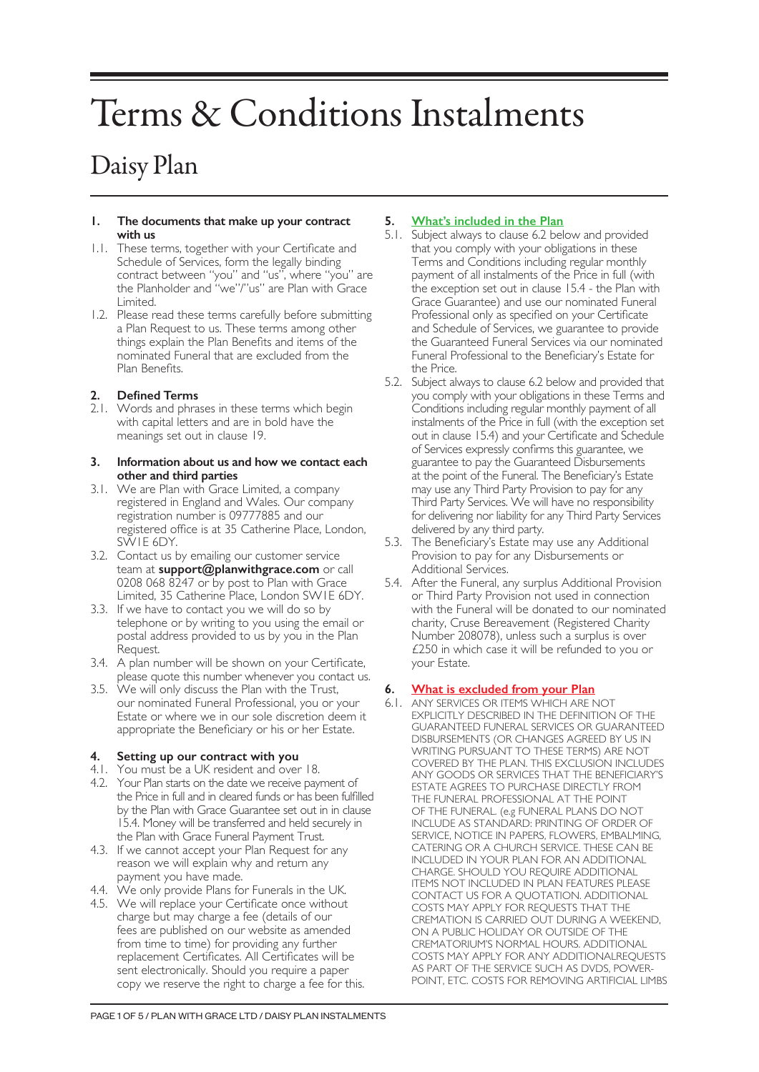# Terms & Conditions Instalments

# Daisy Plan

#### **1. The documents that make up your contract with us**

- 1.1. These terms, together with your Certificate and Schedule of Services, form the legally binding contract between "you" and "us", where "you" are the Planholder and "we"/"us" are Plan with Grace Limited.
- 1.2. Please read these terms carefully before submitting a Plan Request to us. These terms among other things explain the Plan Benefits and items of the nominated Funeral that are excluded from the Plan Benefits.

# **2. Defined Terms**

2.1. Words and phrases in these terms which begin with capital letters and are in bold have the meanings set out in clause 19.

#### **3. Information about us and how we contact each other and third parties**

- 3.1. We are Plan with Grace Limited, a company registered in England and Wales. Our company registration number is 09777885 and our registered office is at 35 Catherine Place, London, SW1E 6DY.
- 3.2. Contact us by emailing our customer service team at **support@planwithgrace.com** or call 0208 068 8247 or by post to Plan with Grace Limited, 35 Catherine Place, London SW1E 6DY.
- 3.3. If we have to contact you we will do so by telephone or by writing to you using the email or postal address provided to us by you in the Plan Request.
- 3.4. A plan number will be shown on your Certificate, please quote this number whenever you contact us.
- 3.5. We will only discuss the Plan with the Trust, our nominated Funeral Professional, you or your Estate or where we in our sole discretion deem it appropriate the Beneficiary or his or her Estate.

# **4. Setting up our contract with you**

- 4.1. You must be a UK resident and over 18.
- 4.2. Your Plan starts on the date we receive payment of the Price in full and in cleared funds or has been fulfilled by the Plan with Grace Guarantee set out in in clause 15.4. Money will be transferred and held securely in the Plan with Grace Funeral Payment Trust.
- 4.3. If we cannot accept your Plan Request for any reason we will explain why and return any payment you have made.
- 4.4. We only provide Plans for Funerals in the UK.
- 4.5. We will replace your Certificate once without charge but may charge a fee (details of our fees are published on our website as amended from time to time) for providing any further replacement Certificates. All Certificates will be sent electronically. Should you require a paper copy we reserve the right to charge a fee for this.

# **5. What's included in the Plan**

- 5.1. Subject always to clause 6.2 below and provided that you comply with your obligations in these Terms and Conditions including regular monthly payment of all instalments of the Price in full (with the exception set out in clause 15.4 - the Plan with Grace Guarantee) and use our nominated Funeral Professional only as specified on your Certificate and Schedule of Services, we guarantee to provide the Guaranteed Funeral Services via our nominated Funeral Professional to the Beneficiary's Estate for the Price.
- 5.2. Subject always to clause 6.2 below and provided that you comply with your obligations in these Terms and Conditions including regular monthly payment of all instalments of the Price in full (with the exception set out in clause 15.4) and your Certificate and Schedule of Services expressly confirms this guarantee, we guarantee to pay the Guaranteed Disbursements at the point of the Funeral. The Beneficiary's Estate may use any Third Party Provision to pay for any Third Party Services. We will have no responsibility for delivering nor liability for any Third Party Services delivered by any third party.
- 5.3. The Beneficiary's Estate may use any Additional Provision to pay for any Disbursements or Additional Services.
- 5.4. After the Funeral, any surplus Additional Provision or Third Party Provision not used in connection with the Funeral will be donated to our nominated charity, Cruse Bereavement (Registered Charity Number 208078), unless such a surplus is over £250 in which case it will be refunded to you or your Estate.

# **6. What is excluded from your Plan**

6.1. ANY SERVICES OR ITEMS WHICH ARE NOT EXPLICITLY DESCRIBED IN THE DEFINITION OF THE GUARANTEED FUNERAL SERVICES OR GUARANTEED DISBURSEMENTS (OR CHANGES AGREED BY US IN WRITING PURSUANT TO THESE TERMS) ARE NOT COVERED BY THE PLAN. THIS EXCLUSION INCLUDES ANY GOODS OR SERVICES THAT THE BENEFICIARY'S ESTATE AGREES TO PURCHASE DIRECTLY FROM THE FUNERAL PROFESSIONAL AT THE POINT OF THE FUNERAL. (e.g FUNERAL PLANS DO NOT INCLUDE AS STANDARD: PRINTING OF ORDER OF SERVICE, NOTICE IN PAPERS, FLOWERS, EMBALMING, CATERING OR A CHURCH SERVICE. THESE CAN BE INCLUDED IN YOUR PLAN FOR AN ADDITIONAL CHARGE. SHOULD YOU REQUIRE ADDITIONAL ITEMS NOT INCLUDED IN PLAN FEATURES PLEASE CONTACT US FOR A QUOTATION. ADDITIONAL COSTS MAY APPLY FOR REQUESTS THAT THE CREMATION IS CARRIED OUT DURING A WEEKEND, ON A PUBLIC HOLIDAY OR OUTSIDE OF THE CREMATORIUM'S NORMAL HOURS. ADDITIONAL COSTS MAY APPLY FOR ANY ADDITIONALREQUESTS AS PART OF THE SERVICE SUCH AS DVDS, POWER-POINT, ETC. COSTS FOR REMOVING ARTIFICIAL LIMBS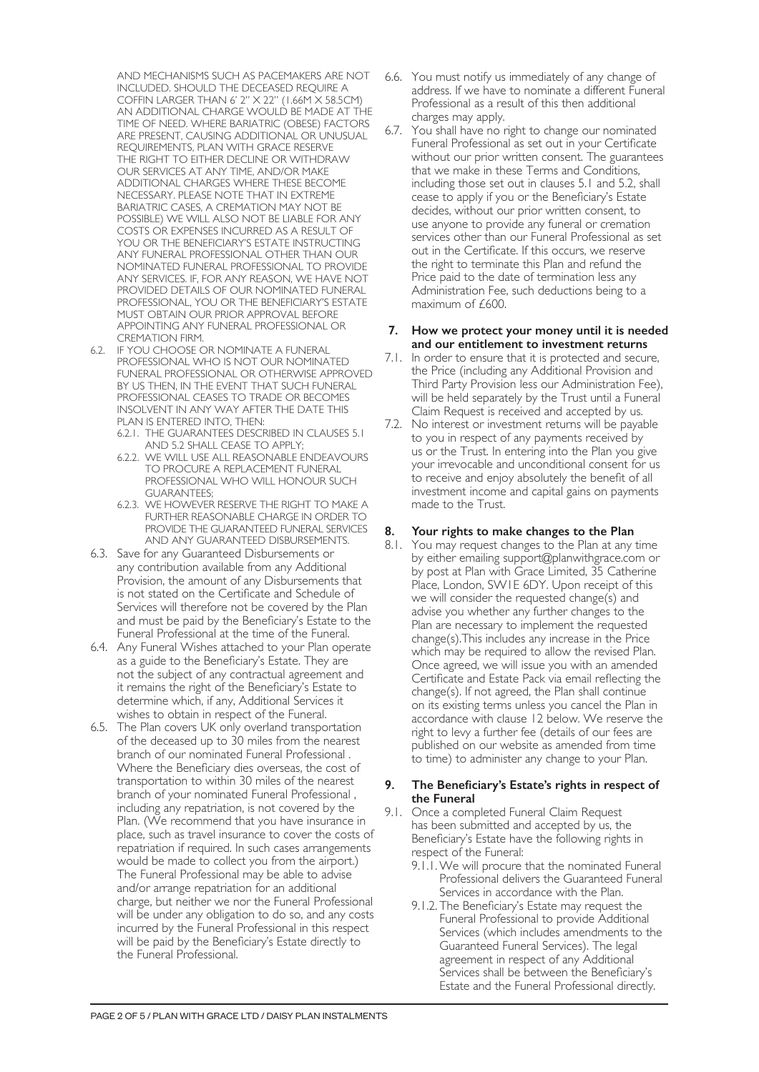AND MECHANISMS SUCH AS PACEMAKERS ARE NOT INCLUDED. SHOULD THE DECEASED REQUIRE A COFFIN LARGER THAN 6' 2" X 22" (1.66M X 58.5CM) AN ADDITIONAL CHARGE WOULD BE MADE AT THE TIME OF NEED. WHERE BARIATRIC (OBESE) FACTORS ARE PRESENT, CAUSING ADDITIONAL OR UNUSUAL REQUIREMENTS, PLAN WITH GRACE RESERVE THE RIGHT TO EITHER DECLINE OR WITHDRAW OUR SERVICES AT ANY TIME, AND/OR MAKE ADDITIONAL CHARGES WHERE THESE BECOME NECESSARY. PLEASE NOTE THAT IN EXTREME BARIATRIC CASES, A CREMATION MAY NOT BE POSSIBLE) WE WILL ALSO NOT BE LIABLE FOR ANY COSTS OR EXPENSES INCURRED AS A RESULT OF YOU OR THE BENEFICIARY'S ESTATE INSTRUCTING ANY FUNERAL PROFESSIONAL OTHER THAN OUR NOMINATED FUNERAL PROFESSIONAL TO PROVIDE ANY SERVICES. IF, FOR ANY REASON, WE HAVE NOT PROVIDED DETAILS OF OUR NOMINATED FUNERAL PROFESSIONAL, YOU OR THE BENEFICIARY'S ESTATE MUST OBTAIN OUR PRIOR APPROVAL BEFORE APPOINTING ANY FUNERAL PROFESSIONAL OR CREMATION FIRM.

- 6.2. IF YOU CHOOSE OR NOMINATE A FUNERAL PROFESSIONAL WHO IS NOT OUR NOMINATED FUNERAL PROFESSIONAL OR OTHERWISE APPROVED BY US THEN, IN THE EVENT THAT SUCH FUNERAL PROFESSIONAL CEASES TO TRADE OR BECOMES INSOLVENT IN ANY WAY AFTER THE DATE THIS PLAN IS ENTERED INTO, THEN:
	- 6.2.1. THE GUARANTEES DESCRIBED IN CLAUSES 5.1 AND 5.2 SHALL CEASE TO APPLY;
	- 6.2.2. WE WILL USE ALL REASONABLE ENDEAVOURS TO PROCURE A REPLACEMENT FUNERAL PROFESSIONAL WHO WILL HONOUR SUCH GUARANTEES;
	- 6.2.3. WE HOWEVER RESERVE THE RIGHT TO MAKE A FURTHER REASONABLE CHARGE IN ORDER TO PROVIDE THE GUARANTEED FUNERAL SERVICES AND ANY GUARANTEED DISBURSEMENTS.
- 6.3. Save for any Guaranteed Disbursements or any contribution available from any Additional Provision, the amount of any Disbursements that is not stated on the Certificate and Schedule of Services will therefore not be covered by the Plan and must be paid by the Beneficiary's Estate to the Funeral Professional at the time of the Funeral.
- 6.4. Any Funeral Wishes attached to your Plan operate as a guide to the Beneficiary's Estate. They are not the subject of any contractual agreement and it remains the right of the Beneficiary's Estate to determine which, if any, Additional Services it wishes to obtain in respect of the Funeral.
- 6.5. The Plan covers UK only overland transportation of the deceased up to 30 miles from the nearest branch of our nominated Funeral Professional . Where the Beneficiary dies overseas, the cost of transportation to within 30 miles of the nearest branch of your nominated Funeral Professional , including any repatriation, is not covered by the Plan. (We recommend that you have insurance in place, such as travel insurance to cover the costs of repatriation if required. In such cases arrangements would be made to collect you from the airport.) The Funeral Professional may be able to advise and/or arrange repatriation for an additional charge, but neither we nor the Funeral Professional will be under any obligation to do so, and any costs incurred by the Funeral Professional in this respect will be paid by the Beneficiary's Estate directly to the Funeral Professional.
- 6.6. You must notify us immediately of any change of address. If we have to nominate a different Funeral Professional as a result of this then additional charges may apply.
- 6.7. You shall have no right to change our nominated Funeral Professional as set out in your Certificate without our prior written consent. The guarantees that we make in these Terms and Conditions, including those set out in clauses 5.1 and 5.2, shall cease to apply if you or the Beneficiary's Estate decides, without our prior written consent, to use anyone to provide any funeral or cremation services other than our Funeral Professional as set out in the Certificate. If this occurs, we reserve the right to terminate this Plan and refund the Price paid to the date of termination less any Administration Fee, such deductions being to a maximum of £600.

#### **7. How we protect your money until it is needed and our entitlement to investment returns**

- 7.1. In order to ensure that it is protected and secure, the Price (including any Additional Provision and Third Party Provision less our Administration Fee), will be held separately by the Trust until a Funeral Claim Request is received and accepted by us.
- 7.2. No interest or investment returns will be payable to you in respect of any payments received by us or the Trust. In entering into the Plan you give your irrevocable and unconditional consent for us to receive and enjoy absolutely the benefit of all investment income and capital gains on payments made to the Trust.

# **8. Your rights to make changes to the Plan**

8.1. You may request changes to the Plan at any time by either emailing support@planwithgrace.com or by post at Plan with Grace Limited, 35 Catherine Place, London, SW1E 6DY. Upon receipt of this we will consider the requested change(s) and advise you whether any further changes to the Plan are necessary to implement the requested change(s).This includes any increase in the Price which may be required to allow the revised Plan. Once agreed, we will issue you with an amended Certificate and Estate Pack via email reflecting the change(s). If not agreed, the Plan shall continue on its existing terms unless you cancel the Plan in accordance with clause 12 below. We reserve the right to levy a further fee (details of our fees are published on our website as amended from time to time) to administer any change to your Plan.

#### **9. The Beneficiary's Estate's rights in respect of the Funeral**

- 9.1. Once a completed Funeral Claim Request has been submitted and accepted by us, the Beneficiary's Estate have the following rights in respect of the Funeral:
	- 9.1.1.We will procure that the nominated Funeral Professional delivers the Guaranteed Funeral Services in accordance with the Plan.
	- 9.1.2. The Beneficiary's Estate may request the Funeral Professional to provide Additional Services (which includes amendments to the Guaranteed Funeral Services). The legal agreement in respect of any Additional Services shall be between the Beneficiary's Estate and the Funeral Professional directly.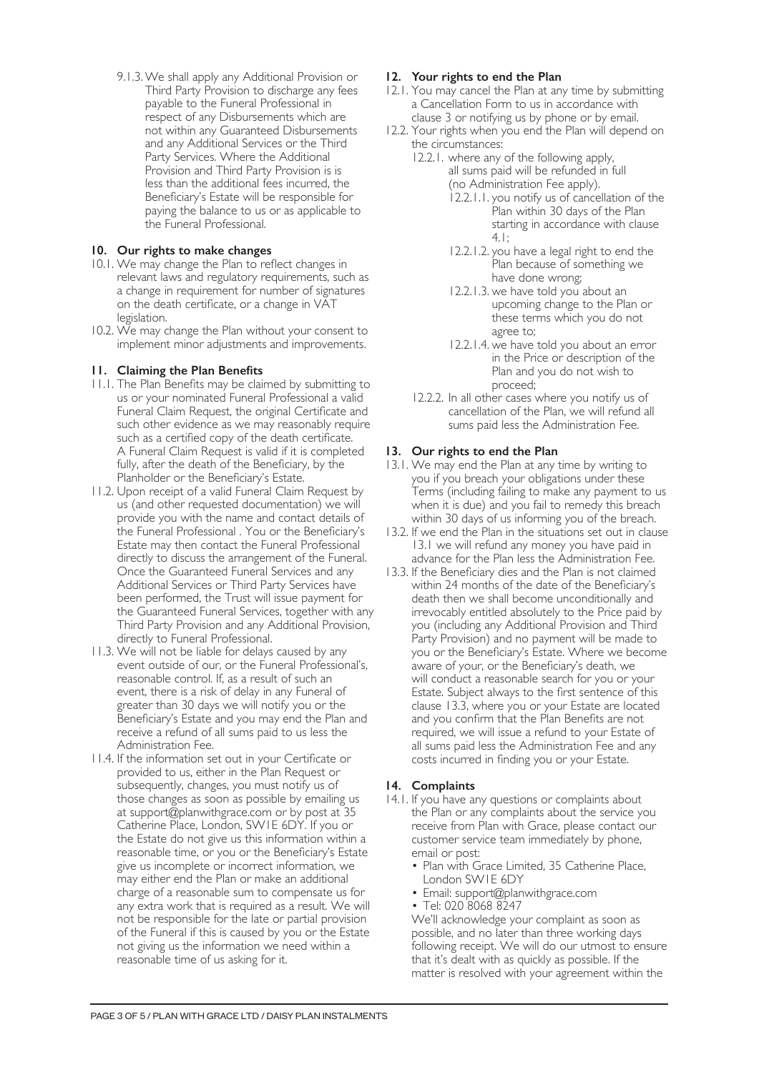9.1.3.We shall apply any Additional Provision or Third Party Provision to discharge any fees payable to the Funeral Professional in respect of any Disbursements which are not within any Guaranteed Disbursements and any Additional Services or the Third Party Services. Where the Additional Provision and Third Party Provision is is less than the additional fees incurred, the Beneficiary's Estate will be responsible for paying the balance to us or as applicable to the Funeral Professional.

# **10. Our rights to make changes**

- 10.1. We may change the Plan to reflect changes in relevant laws and regulatory requirements, such as a change in requirement for number of signatures on the death certificate, or a change in VAT legislation.
- 10.2. We may change the Plan without your consent to implement minor adjustments and improvements.

# **11. Claiming the Plan Benefits**

- 11.1. The Plan Benefits may be claimed by submitting to us or your nominated Funeral Professional a valid Funeral Claim Request, the original Certificate and such other evidence as we may reasonably require such as a certified copy of the death certificate. A Funeral Claim Request is valid if it is completed fully, after the death of the Beneficiary, by the Planholder or the Beneficiary's Estate.
- 11.2. Upon receipt of a valid Funeral Claim Request by us (and other requested documentation) we will provide you with the name and contact details of the Funeral Professional . You or the Beneficiary's Estate may then contact the Funeral Professional directly to discuss the arrangement of the Funeral. Once the Guaranteed Funeral Services and any Additional Services or Third Party Services have been performed, the Trust will issue payment for the Guaranteed Funeral Services, together with any Third Party Provision and any Additional Provision, directly to Funeral Professional.
- 11.3. We will not be liable for delays caused by any event outside of our, or the Funeral Professional's, reasonable control. If, as a result of such an event, there is a risk of delay in any Funeral of greater than 30 days we will notify you or the Beneficiary's Estate and you may end the Plan and receive a refund of all sums paid to us less the Administration Fee.
- 11.4. If the information set out in your Certificate or provided to us, either in the Plan Request or subsequently, changes, you must notify us of those changes as soon as possible by emailing us at support@planwithgrace.com or by post at 35 Catherine Place, London, SW1E 6DY. If you or the Estate do not give us this information within a reasonable time, or you or the Beneficiary's Estate give us incomplete or incorrect information, we may either end the Plan or make an additional charge of a reasonable sum to compensate us for any extra work that is required as a result. We will not be responsible for the late or partial provision of the Funeral if this is caused by you or the Estate not giving us the information we need within a reasonable time of us asking for it.

# **12. Your rights to end the Plan**

- 12.1. You may cancel the Plan at any time by submitting a Cancellation Form to us in accordance with clause 3 or notifying us by phone or by email.
- 12.2. Your rights when you end the Plan will depend on the circumstances:
	- 12.2.1. where any of the following apply, all sums paid will be refunded in full (no Administration Fee apply).
		- 12.2.1.1. you notify us of cancellation of the Plan within 30 days of the Plan starting in accordance with clause 4.1;
		- 12.2.1.2. you have a legal right to end the Plan because of something we have done wrong;
		- 12.2.1.3. we have told you about an upcoming change to the Plan or these terms which you do not agree to;
		- 12.2.1.4. we have told you about an error in the Price or description of the Plan and you do not wish to proceed;
	- 12.2.2. In all other cases where you notify us of cancellation of the Plan, we will refund all sums paid less the Administration Fee.

# **13. Our rights to end the Plan**

- 13.1. We may end the Plan at any time by writing to you if you breach your obligations under these Terms (including failing to make any payment to us when it is due) and you fail to remedy this breach within 30 days of us informing you of the breach.
- 13.2. If we end the Plan in the situations set out in clause 13.1 we will refund any money you have paid in advance for the Plan less the Administration Fee.
- 13.3. If the Beneficiary dies and the Plan is not claimed within 24 months of the date of the Beneficiary's death then we shall become unconditionally and irrevocably entitled absolutely to the Price paid by you (including any Additional Provision and Third Party Provision) and no payment will be made to you or the Beneficiary's Estate. Where we become aware of your, or the Beneficiary's death, we will conduct a reasonable search for you or your Estate. Subject always to the first sentence of this clause 13.3, where you or your Estate are located and you confirm that the Plan Benefits are not required, we will issue a refund to your Estate of all sums paid less the Administration Fee and any costs incurred in finding you or your Estate.

#### **14. Complaints**

- 14.1. If you have any questions or complaints about the Plan or any complaints about the service you receive from Plan with Grace, please contact our customer service team immediately by phone, email or post:
	- Plan with Grace Limited, 35 Catherine Place, London SW1E 6DY
	- Email: support@planwithgrace.com
	- Tel: 020 8068 8247

We'll acknowledge your complaint as soon as possible, and no later than three working days following receipt. We will do our utmost to ensure that it's dealt with as quickly as possible. If the matter is resolved with your agreement within the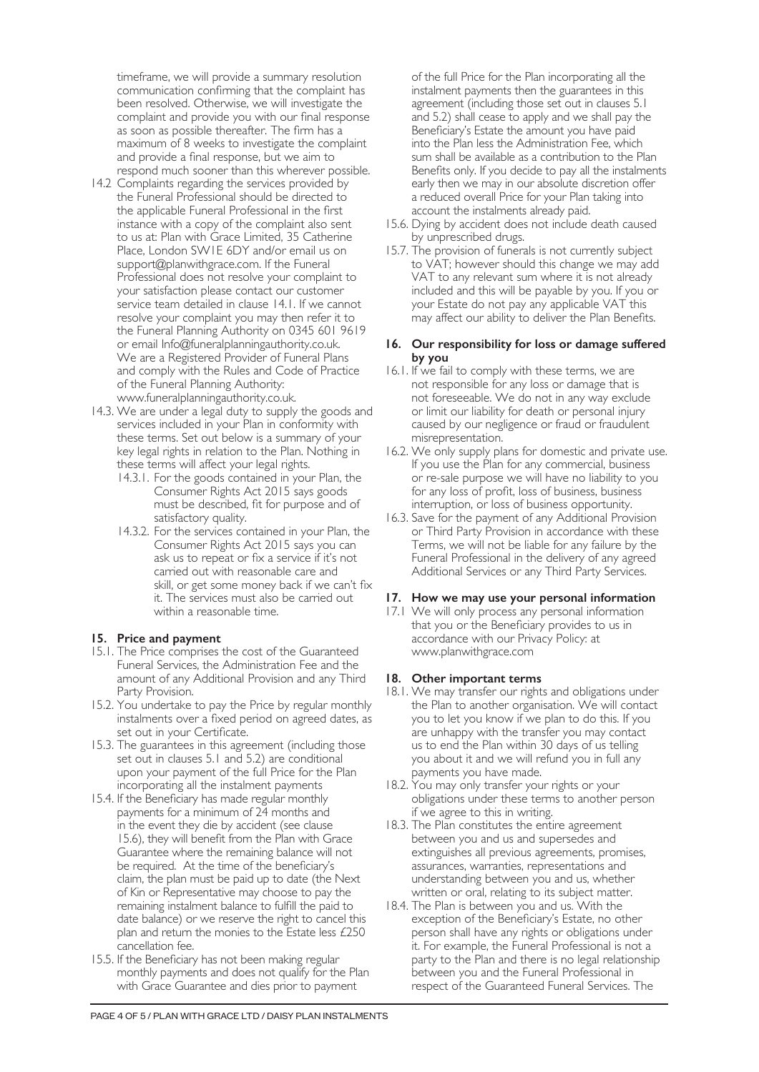timeframe, we will provide a summary resolution communication confirming that the complaint has been resolved. Otherwise, we will investigate the complaint and provide you with our final response as soon as possible thereafter. The firm has a maximum of 8 weeks to investigate the complaint and provide a final response, but we aim to respond much sooner than this wherever possible.

- 14.2 Complaints regarding the services provided by the Funeral Professional should be directed to the applicable Funeral Professional in the first instance with a copy of the complaint also sent to us at: Plan with Grace Limited, 35 Catherine Place, London SW1E 6DY and/or email us on support@planwithgrace.com. If the Funeral Professional does not resolve your complaint to your satisfaction please contact our customer service team detailed in clause 14.1. If we cannot resolve your complaint you may then refer it to the Funeral Planning Authority on 0345 601 9619 or email Info@funeralplanningauthority.co.uk. We are a Registered Provider of Funeral Plans and comply with the Rules and Code of Practice of the Funeral Planning Authority: www.funeralplanningauthority.co.uk.
- 14.3. We are under a legal duty to supply the goods and services included in your Plan in conformity with these terms. Set out below is a summary of your key legal rights in relation to the Plan. Nothing in these terms will affect your legal rights.
	- 14.3.1. For the goods contained in your Plan, the Consumer Rights Act 2015 says goods must be described, fit for purpose and of satisfactory quality.
	- 14.3.2. For the services contained in your Plan, the Consumer Rights Act 2015 says you can ask us to repeat or fix a service if it's not carried out with reasonable care and skill, or get some money back if we can't fix it. The services must also be carried out within a reasonable time.

#### **15. Price and payment**

- 15.1. The Price comprises the cost of the Guaranteed Funeral Services, the Administration Fee and the amount of any Additional Provision and any Third Party Provision.
- 15.2. You undertake to pay the Price by regular monthly instalments over a fixed period on agreed dates, as set out in your Certificate.
- 15.3. The guarantees in this agreement (including those set out in clauses 5.1 and 5.2) are conditional upon your payment of the full Price for the Plan incorporating all the instalment payments
- 15.4. If the Beneficiary has made regular monthly payments for a minimum of 24 months and in the event they die by accident (see clause 15.6), they will benefit from the Plan with Grace Guarantee where the remaining balance will not be required. At the time of the beneficiary's claim, the plan must be paid up to date (the Next of Kin or Representative may choose to pay the remaining instalment balance to fulfill the paid to date balance) or we reserve the right to cancel this plan and return the monies to the Estate less £250 cancellation fee.
- 15.5. If the Beneficiary has not been making regular monthly payments and does not qualify for the Plan with Grace Guarantee and dies prior to payment

of the full Price for the Plan incorporating all the instalment payments then the guarantees in this agreement (including those set out in clauses 5.1 and 5.2) shall cease to apply and we shall pay the Beneficiary's Estate the amount you have paid into the Plan less the Administration Fee, which sum shall be available as a contribution to the Plan Benefits only. If you decide to pay all the instalments early then we may in our absolute discretion offer a reduced overall Price for your Plan taking into account the instalments already paid.

- 15.6. Dying by accident does not include death caused by unprescribed drugs.
- 15.7. The provision of funerals is not currently subject to VAT; however should this change we may add VAT to any relevant sum where it is not already included and this will be payable by you. If you or your Estate do not pay any applicable VAT this may affect our ability to deliver the Plan Benefits.

### **16. Our responsibility for loss or damage suffered by you**

- 16.1. If we fail to comply with these terms, we are not responsible for any loss or damage that is not foreseeable. We do not in any way exclude or limit our liability for death or personal injury caused by our negligence or fraud or fraudulent misrepresentation.
- 16.2. We only supply plans for domestic and private use. If you use the Plan for any commercial, business or re-sale purpose we will have no liability to you for any loss of profit, loss of business, business interruption, or loss of business opportunity.
- 16.3. Save for the payment of any Additional Provision or Third Party Provision in accordance with these Terms, we will not be liable for any failure by the Funeral Professional in the delivery of any agreed Additional Services or any Third Party Services.

#### **17. How we may use your personal information**

17.1 We will only process any personal information that you or the Beneficiary provides to us in accordance with our Privacy Policy: at www.planwithgrace.com

#### **18. Other important terms**

- 18.1. We may transfer our rights and obligations under the Plan to another organisation. We will contact you to let you know if we plan to do this. If you are unhappy with the transfer you may contact us to end the Plan within 30 days of us telling you about it and we will refund you in full any payments you have made.
- 18.2. You may only transfer your rights or your obligations under these terms to another person if we agree to this in writing.
- 18.3. The Plan constitutes the entire agreement between you and us and supersedes and extinguishes all previous agreements, promises, assurances, warranties, representations and understanding between you and us, whether written or oral, relating to its subject matter.
- 18.4. The Plan is between you and us. With the exception of the Beneficiary's Estate, no other person shall have any rights or obligations under it. For example, the Funeral Professional is not a party to the Plan and there is no legal relationship between you and the Funeral Professional in respect of the Guaranteed Funeral Services. The